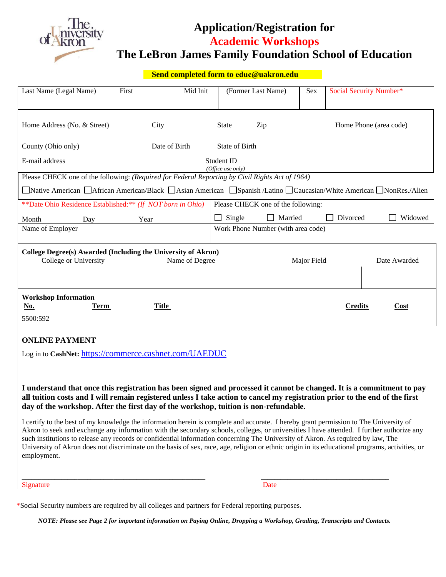

# **Application/Registration for Academic Workshops The LeBron James Family Foundation School of Education**

| Send completed form to educ@uakron.edu                                                                                                                                                                                                                                                                                                                                                                                                                                                                                                                                                                                                                                                                                                                                                                                                                                                                                                    |                                    |                                    |                    |                        |                             |                         |  |
|-------------------------------------------------------------------------------------------------------------------------------------------------------------------------------------------------------------------------------------------------------------------------------------------------------------------------------------------------------------------------------------------------------------------------------------------------------------------------------------------------------------------------------------------------------------------------------------------------------------------------------------------------------------------------------------------------------------------------------------------------------------------------------------------------------------------------------------------------------------------------------------------------------------------------------------------|------------------------------------|------------------------------------|--------------------|------------------------|-----------------------------|-------------------------|--|
| Last Name (Legal Name)                                                                                                                                                                                                                                                                                                                                                                                                                                                                                                                                                                                                                                                                                                                                                                                                                                                                                                                    | First<br>Mid Init                  |                                    | (Former Last Name) | Sex                    |                             | Social Security Number* |  |
| Home Address (No. & Street)                                                                                                                                                                                                                                                                                                                                                                                                                                                                                                                                                                                                                                                                                                                                                                                                                                                                                                               | City                               | <b>State</b>                       | Zip                | Home Phone (area code) |                             |                         |  |
| County (Ohio only)                                                                                                                                                                                                                                                                                                                                                                                                                                                                                                                                                                                                                                                                                                                                                                                                                                                                                                                        | Date of Birth                      | State of Birth                     |                    |                        |                             |                         |  |
| E-mail address                                                                                                                                                                                                                                                                                                                                                                                                                                                                                                                                                                                                                                                                                                                                                                                                                                                                                                                            | Student ID<br>(Office use only)    |                                    |                    |                        |                             |                         |  |
| Please CHECK one of the following: (Required for Federal Reporting by Civil Rights Act of 1964)                                                                                                                                                                                                                                                                                                                                                                                                                                                                                                                                                                                                                                                                                                                                                                                                                                           |                                    |                                    |                    |                        |                             |                         |  |
| ■Native American △African American/Black △Asian American △Spanish /Latino △Caucasian/White American △NonRes./Alien                                                                                                                                                                                                                                                                                                                                                                                                                                                                                                                                                                                                                                                                                                                                                                                                                        |                                    |                                    |                    |                        |                             |                         |  |
| **Date Ohio Residence Established:** (If NOT born in Ohio)                                                                                                                                                                                                                                                                                                                                                                                                                                                                                                                                                                                                                                                                                                                                                                                                                                                                                | Please CHECK one of the following: |                                    |                    |                        |                             |                         |  |
| Month<br>Day                                                                                                                                                                                                                                                                                                                                                                                                                                                                                                                                                                                                                                                                                                                                                                                                                                                                                                                              | Year                               | Single                             | Married            | Divorced<br>Widowed    |                             |                         |  |
| Name of Employer                                                                                                                                                                                                                                                                                                                                                                                                                                                                                                                                                                                                                                                                                                                                                                                                                                                                                                                          |                                    | Work Phone Number (with area code) |                    |                        |                             |                         |  |
| College Degree(s) Awarded (Including the University of Akron)<br>College or University                                                                                                                                                                                                                                                                                                                                                                                                                                                                                                                                                                                                                                                                                                                                                                                                                                                    |                                    | Name of Degree                     |                    |                        | Date Awarded<br>Major Field |                         |  |
| <b>Workshop Information</b><br><u>No.</u><br>Term<br>5500:592                                                                                                                                                                                                                                                                                                                                                                                                                                                                                                                                                                                                                                                                                                                                                                                                                                                                             | <b>Title</b>                       |                                    |                    |                        | <b>Credits</b>              | <b>Cost</b>             |  |
| <b>ONLINE PAYMENT</b><br>Log in to CashNet: https://commerce.cashnet.com/UAEDUC                                                                                                                                                                                                                                                                                                                                                                                                                                                                                                                                                                                                                                                                                                                                                                                                                                                           |                                    |                                    |                    |                        |                             |                         |  |
| I understand that once this registration has been signed and processed it cannot be changed. It is a commitment to pay<br>all tuition costs and I will remain registered unless I take action to cancel my registration prior to the end of the first<br>day of the workshop. After the first day of the workshop, tuition is non-refundable.<br>I certify to the best of my knowledge the information herein is complete and accurate. I hereby grant permission to The University of<br>Akron to seek and exchange any information with the secondary schools, colleges, or universities I have attended. I further authorize any<br>such institutions to release any records or confidential information concerning The University of Akron. As required by law, The<br>University of Akron does not discriminate on the basis of sex, race, age, religion or ethnic origin in its educational programs, activities, or<br>employment. |                                    |                                    |                    |                        |                             |                         |  |

\*Social Security numbers are required by all colleges and partners for Federal reporting purposes.

Signature Date

*NOTE: Please see Page 2 for important information on Paying Online, Dropping a Workshop, Grading, Transcripts and Contacts.*

 $\overline{\phantom{a}}$  , and the contribution of the contribution of the contribution of the contribution of the contribution of the contribution of the contribution of the contribution of the contribution of the contribution of the